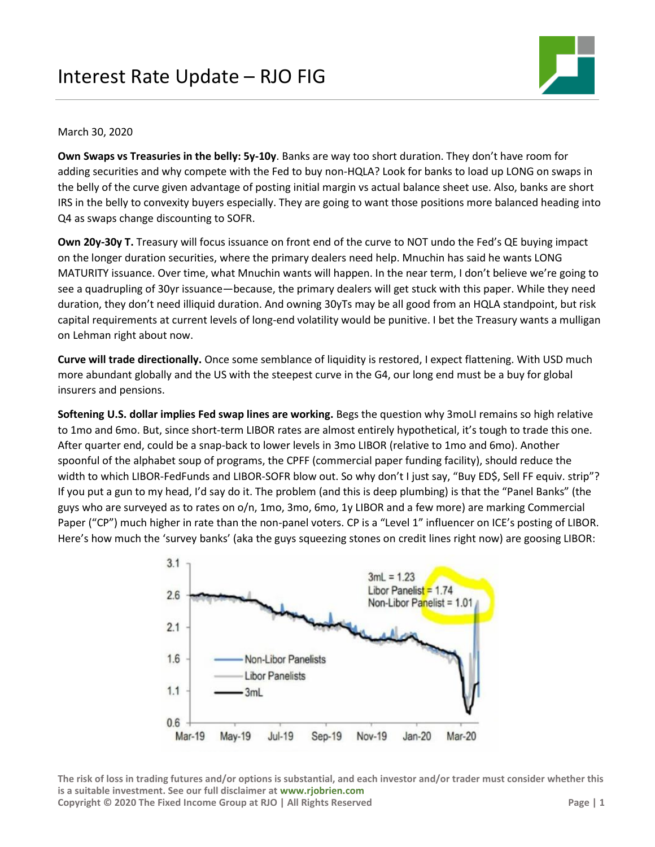

# March 30, 2020

**Own Swaps vs Treasuries in the belly: 5y-10y**. Banks are way too short duration. They don't have room for adding securities and why compete with the Fed to buy non-HQLA? Look for banks to load up LONG on swaps in the belly of the curve given advantage of posting initial margin vs actual balance sheet use. Also, banks are short IRS in the belly to convexity buyers especially. They are going to want those positions more balanced heading into Q4 as swaps change discounting to SOFR.

**Own 20y-30y T.** Treasury will focus issuance on front end of the curve to NOT undo the Fed's QE buying impact on the longer duration securities, where the primary dealers need help. Mnuchin has said he wants LONG MATURITY issuance. Over time, what Mnuchin wants will happen. In the near term, I don't believe we're going to see a quadrupling of 30yr issuance—because, the primary dealers will get stuck with this paper. While they need duration, they don't need illiquid duration. And owning 30yTs may be all good from an HQLA standpoint, but risk capital requirements at current levels of long-end volatility would be punitive. I bet the Treasury wants a mulligan on Lehman right about now.

**Curve will trade directionally.** Once some semblance of liquidity is restored, I expect flattening. With USD much more abundant globally and the US with the steepest curve in the G4, our long end must be a buy for global insurers and pensions.

**Softening U.S. dollar implies Fed swap lines are working.** Begs the question why 3moLI remains so high relative to 1mo and 6mo. But, since short-term LIBOR rates are almost entirely hypothetical, it's tough to trade this one. After quarter end, could be a snap-back to lower levels in 3mo LIBOR (relative to 1mo and 6mo). Another spoonful of the alphabet soup of programs, the CPFF (commercial paper funding facility), should reduce the width to which LIBOR-FedFunds and LIBOR-SOFR blow out. So why don't I just say, "Buy ED\$, Sell FF equiv. strip"? If you put a gun to my head, I'd say do it. The problem (and this is deep plumbing) is that the "Panel Banks" (the guys who are surveyed as to rates on o/n, 1mo, 3mo, 6mo, 1y LIBOR and a few more) are marking Commercial Paper ("CP") much higher in rate than the non-panel voters. CP is a "Level 1" influencer on ICE's posting of LIBOR. Here's how much the 'survey banks' (aka the guys squeezing stones on credit lines right now) are goosing LIBOR:



**The risk of loss in trading futures and/or options is substantial, and each investor and/or trader must consider whether this is a suitable investment. See our full disclaimer at [www.rjobrien.com](http://www.rjobrien.com/) Copyright © 2020 The Fixed Income Group at RJO | All Rights Reserved Page | 1**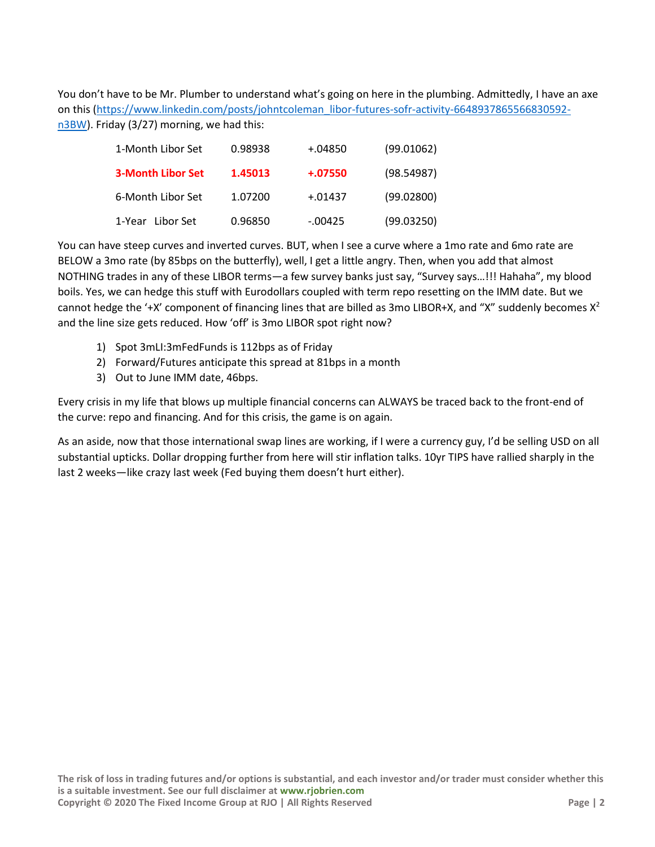You don't have to be Mr. Plumber to understand what's going on here in the plumbing. Admittedly, I have an axe on this [\(https://www.linkedin.com/posts/johntcoleman\\_libor-futures-sofr-activity-6648937865566830592](https://www.linkedin.com/posts/johntcoleman_libor-futures-sofr-activity-6648937865566830592-n3BW) [n3BW\)](https://www.linkedin.com/posts/johntcoleman_libor-futures-sofr-activity-6648937865566830592-n3BW). Friday (3/27) morning, we had this:

| 1-Month Libor Set        | 0.98938 | +.04850    | (99.01062) |
|--------------------------|---------|------------|------------|
| <b>3-Month Libor Set</b> | 1.45013 | $+.07550$  | (98.54987) |
| 6-Month Libor Set        | 1.07200 | $+.01437$  | (99.02800) |
| 1-Year Libor Set         | 0.96850 | $-0.00425$ | (99.03250) |

You can have steep curves and inverted curves. BUT, when I see a curve where a 1mo rate and 6mo rate are BELOW a 3mo rate (by 85bps on the butterfly), well, I get a little angry. Then, when you add that almost NOTHING trades in any of these LIBOR terms—a few survey banks just say, "Survey says…!!! Hahaha", my blood boils. Yes, we can hedge this stuff with Eurodollars coupled with term repo resetting on the IMM date. But we cannot hedge the '+X' component of financing lines that are billed as 3mo LIBOR+X, and "X" suddenly becomes  $X^2$ and the line size gets reduced. How 'off' is 3mo LIBOR spot right now?

- 1) Spot 3mLI:3mFedFunds is 112bps as of Friday
- 2) Forward/Futures anticipate this spread at 81bps in a month
- 3) Out to June IMM date, 46bps.

Every crisis in my life that blows up multiple financial concerns can ALWAYS be traced back to the front-end of the curve: repo and financing. And for this crisis, the game is on again.

As an aside, now that those international swap lines are working, if I were a currency guy, I'd be selling USD on all substantial upticks. Dollar dropping further from here will stir inflation talks. 10yr TIPS have rallied sharply in the last 2 weeks—like crazy last week (Fed buying them doesn't hurt either).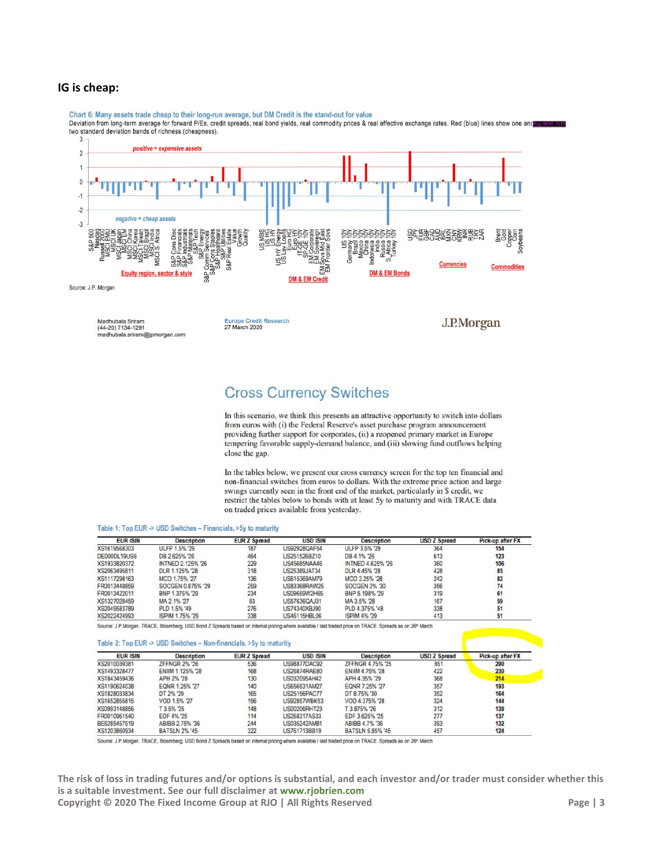## **IG is cheap:**

Madhubala Sriram<br>(44-20) 7134-1291

madhubala.sriram@ipmorgan.com

Chart 6: Many assets trade cheap to their long-run average, but DM Credit is the stand-out for value<br>Deviation from long-term average for forward P/Es, credit spreads, real bond yields, real commodity prices & real effecti 3



**Europe Credit Research** 

27 March 2020

**Cross Currency Switches** 

In this scenario, we think this presents an attractive opportunity to switch into dollars from euros with (i) the Federal Reserve's asset purchase program announcement providing further support for corporates, (ii) a reopened primary market in Europe tempering favorable supply-demand balance, and (iii) slowing fund outflows helping close the gap.

J.P.Morgan

In the tables below, we present our cross currency screen for the top ten financial and non-financial switches from euros to dollars. With the extreme price action and large swings currently seen in the front end of the market, particularly in \$ credit, we restrict the tables below to bonds with at least 5y to maturity and with TRACE data on traded prices available from yesterday.

#### Table 1: Top EUR -> USD Switches - Financials, >5y to maturity

| <b>EUR ISIN</b> | <b>Description</b> | <b>EUR Z Spread</b> | <b>USD ISIN</b> | <b>Description</b>   | <b>USD Z Spread</b> | Pick-up after FX |
|-----------------|--------------------|---------------------|-----------------|----------------------|---------------------|------------------|
| XS1619568303    | ULFP 1.5% '29      | 187                 | US92928QAF54    | ULFP 3.5% '29        | 364                 | 154              |
| DE000DL19US6    | DB 2.625% '26      | 464                 | US251526BZ10    | DB 4.1% 26           | 613                 | 123              |
| XS1933820372    | INTNED 2.125% '26  | 229                 | US45685NAA46    | INTNED 4.625% '26    | 360                 | 106              |
| XS2063495811    | DLR 1.125% '28     | 318                 | US25389JAT34    | DLR 4.45% '28        | 428                 | 85               |
| XS1117298163    | MCO 1.75% '27      | 136                 | US615369AM79    | MCO 3.25% '28        | 242                 | 82               |
| FR0013448859    | SOCGEN 0.875% '29  | 259                 | US83368RAW25    | <b>SOCGEN 3% '30</b> | 356                 | 74               |
| FR0013422011    | BNP 1.375% '29     | 234                 | US09659W2H65    | BNP 5.198% '29       | 319                 | 61               |
| XS1327028459    | MA 2.1% '27        | 83                  | US57636QAJ31    | MA 3.5% '28          | 167                 | 59               |
| XS2049583789    | PLD 1.5% '49       | 276                 | US74340XBJ90    | PLD 4.375% '48       | 338                 | 51               |
| XS2022424993    | ISPIM 1.75% '29    | 338                 | US46115HBL06    | <b>ISPIM 4% '29</b>  | 413                 | 51               |

Source: J.P.Morgan. TRACE, Bloomberg. USD Bond Z Spreads based on internal pricing where available / last traded price on TRACE. Spreads as on 26<sup>th</sup> March

| <b>EUR ISIN</b> | <b>Description</b>      | <b>EUR Z Spread</b> | <b>USD ISIN</b>     | <b>Description</b>     | <b>USD Z Spread</b> | Pick-up after FX |
|-----------------|-------------------------|---------------------|---------------------|------------------------|---------------------|------------------|
| XS2010039381    | <b>ZFFNGR 2% '26</b>    | 536                 | <b>US98877DAC92</b> | ZFFNGR 4.75% '25       | 851                 | 290              |
| XS1493328477    | <b>ENIIM 1.125% '28</b> | 168                 | <b>US26874RAF80</b> | <b>ENIIM 4.75% '28</b> | 422                 | 230              |
| XS1843459436    | APH 2% '28              | 130                 | US032095AH42        | APH 4.35% '29          | 368                 | 214              |
| XS1190624038    | EQNR 1.25% '27          | 140                 | US656531AM27        | EQNR 7.25% '27         | 357                 | 193              |
| XS1828033834    | DT 2% '29               | 165                 | <b>US25156PAC77</b> | DT 8.75% '30           | 352                 | 164              |
| XS1652855815    | VOD 1.5% '27            | 156                 | <b>US92857WBK53</b> | VOD 4.375% '28         | 324                 | 144              |
| XS0993148856    | T 3.5% 25               | 148                 | US00206RHT23        | T 3.875% '26           | 312                 | 139              |
| FR0010961540    | FDF 4% '25              | 114                 | US268317AS33        | EDF 3.625% '25         | 277                 | 137              |
| BE6285457519    | ABIBB 2.75% '36         | 244                 | US035242AM81        | ABIBB 4.7% '36         | 393                 | 132              |
| XS1203860934    | <b>BATSLN 2% '45</b>    | 322                 | US761713BB19        | BATSLN 5,85% '45       | 457                 | 124              |

Source: J.P.Morgan. TRACE, Bloomberg. USD Bond Z Spreads based on internal pricing where available / last traded price on TRACE. Spreads as on 26<sup>th</sup> March

**The risk of loss in trading futures and/or options is substantial, and each investor and/or trader must consider whether this is a suitable investment. See our full disclaimer at [www.rjobrien.com](http://www.rjobrien.com/) Copyright © 2020 The Fixed Income Group at RJO | All Rights Reserved Page | 3**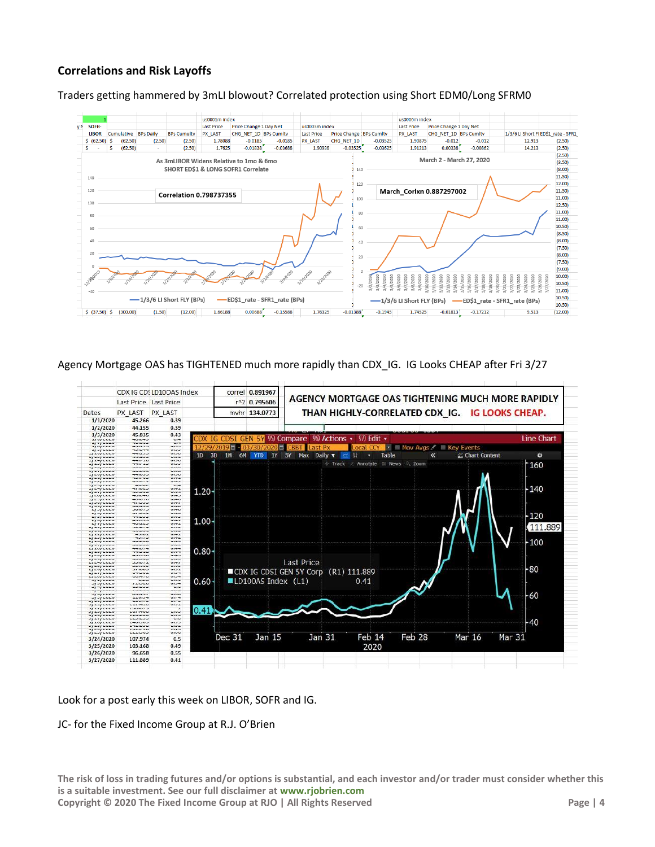# **Correlations and Risk Layoffs**





Agency Mortgage OAS has TIGHTENED much more rapidly than CDX\_IG. IG Looks CHEAP after Fri 3/27



Look for a post early this week on LIBOR, SOFR and IG.

## JC- for the Fixed Income Group at R.J. O'Brien

**The risk of loss in trading futures and/or options is substantial, and each investor and/or trader must consider whether this is a suitable investment. See our full disclaimer at [www.rjobrien.com](http://www.rjobrien.com/) Copyright © 2020 The Fixed Income Group at RJO | All Rights Reserved Page Page | 4**